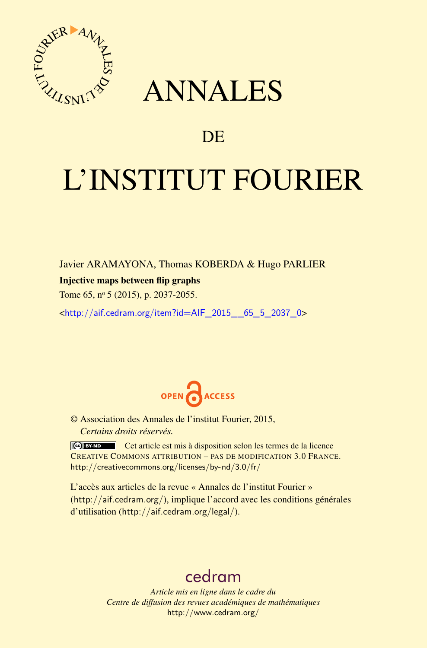

## ANNALES

### **DE**

# L'INSTITUT FOURIER

Javier ARAMAYONA, Thomas KOBERDA & Hugo PARLIER

#### Injective maps between flip graphs

Tome 65, nº 5 (2015), p. 2037-2055.

<[http://aif.cedram.org/item?id=AIF\\_2015\\_\\_65\\_5\\_2037\\_0](http://aif.cedram.org/item?id=AIF_2015__65_5_2037_0)>



© Association des Annales de l'institut Fourier, 2015, *Certains droits réservés.*

Cet article est mis à disposition selon les termes de la licence CREATIVE COMMONS ATTRIBUTION – PAS DE MODIFICATION 3.0 FRANCE. <http://creativecommons.org/licenses/by-nd/3.0/fr/>

L'accès aux articles de la revue « Annales de l'institut Fourier » (<http://aif.cedram.org/>), implique l'accord avec les conditions générales d'utilisation (<http://aif.cedram.org/legal/>).

## [cedram](http://www.cedram.org/)

*Article mis en ligne dans le cadre du Centre de diffusion des revues académiques de mathématiques* <http://www.cedram.org/>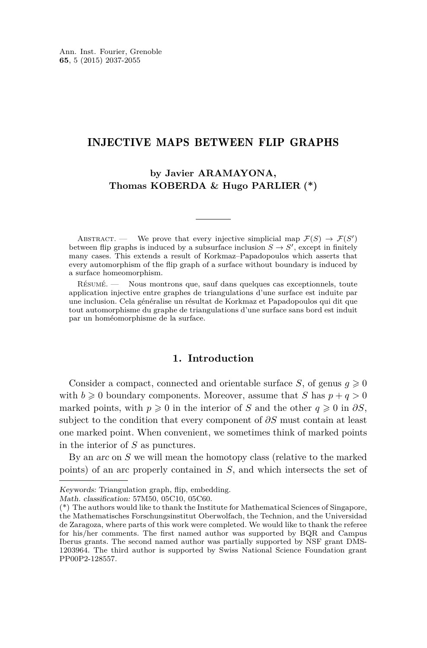#### INJECTIVE MAPS BETWEEN FLIP GRAPHS

**by Javier ARAMAYONA, Thomas KOBERDA & Hugo PARLIER (\*)**

ABSTRACT. — We prove that every injective simplicial map  $\mathcal{F}(S) \to \mathcal{F}(S')$ between flip graphs is induced by a subsurface inclusion  $S \to S'$ , except in finitely many cases. This extends a result of Korkmaz–Papadopoulos which asserts that every automorphism of the flip graph of a surface without boundary is induced by a surface homeomorphism.

Résumé. — Nous montrons que, sauf dans quelques cas exceptionnels, toute application injective entre graphes de triangulations d'une surface est induite par une inclusion. Cela généralise un résultat de Korkmaz et Papadopoulos qui dit que tout automorphisme du graphe de triangulations d'une surface sans bord est induit par un homéomorphisme de la surface.

#### **1. Introduction**

Consider a compact, connected and orientable surface *S*, of genus  $q \ge 0$ with  $b \ge 0$  boundary components. Moreover, assume that *S* has  $p + q > 0$ marked points, with  $p \ge 0$  in the interior of *S* and the other  $q \ge 0$  in  $\partial S$ , subject to the condition that every component of *∂S* must contain at least one marked point. When convenient, we sometimes think of marked points in the interior of *S* as punctures.

By an arc on *S* we will mean the homotopy class (relative to the marked points) of an arc properly contained in *S*, and which intersects the set of

Keywords: Triangulation graph, flip, embedding.

Math. classification: 57M50, 05C10, 05C60.

<sup>(\*)</sup> The authors would like to thank the Institute for Mathematical Sciences of Singapore, the Mathematisches Forschungsinstitut Oberwolfach, the Technion, and the Universidad de Zaragoza, where parts of this work were completed. We would like to thank the referee for his/her comments. The first named author was supported by BQR and Campus Iberus grants. The second named author was partially supported by NSF grant DMS-1203964. The third author is supported by Swiss National Science Foundation grant PP00P2-128557.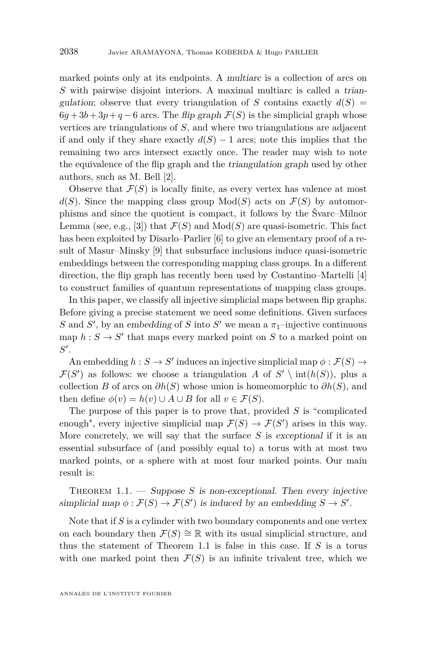<span id="page-2-0"></span>marked points only at its endpoints. A multiarc is a collection of arcs on *S* with pairwise disjoint interiors. A maximal multiarc is called a triangulation; observe that every triangulation of *S* contains exactly  $d(S)$  =  $6q + 3b + 3p + q - 6$  arcs. The *flip graph*  $\mathcal{F}(S)$  is the simplicial graph whose vertices are triangulations of *S*, and where two triangulations are adjacent if and only if they share exactly  $d(S) - 1$  arcs; note this implies that the remaining two arcs intersect exactly once. The reader may wish to note the equivalence of the flip graph and the triangulation graph used by other authors, such as M. Bell [\[2\]](#page-19-0).

Observe that  $\mathcal{F}(S)$  is locally finite, as every vertex has valence at most  $d(S)$ . Since the mapping class group  $Mod(S)$  acts on  $\mathcal{F}(S)$  by automorphisms and since the quotient is compact, it follows by the Švarc–Milnor Lemma (see, e.g., [\[3\]](#page-19-0)) that  $\mathcal{F}(S)$  and  $Mod(S)$  are quasi-isometric. This fact has been exploited by Disarlo–Parlier [\[6\]](#page-19-0) to give an elementary proof of a result of Masur–Minsky [\[9\]](#page-19-0) that subsurface inclusions induce quasi-isometric embeddings between the corresponding mapping class groups. In a different direction, the flip graph has recently been used by Costantino–Martelli [\[4\]](#page-19-0) to construct families of quantum representations of mapping class groups.

In this paper, we classify all injective simplicial maps between flip graphs. Before giving a precise statement we need some definitions. Given surfaces *S* and *S*<sup>'</sup>, by an embedding of *S* into *S*<sup>'</sup> we mean a  $\pi_1$ -injective continuous map  $h: S \to S'$  that maps every marked point on *S* to a marked point on  $S'$ .

An embedding  $h : S \to S'$  induces an injective simplicial map  $\phi : \mathcal{F}(S) \to$  $\mathcal{F}(S')$  as follows: we choose a triangulation *A* of  $S' \setminus \text{int}(h(S))$ , plus a collection *B* of arcs on  $\partial h(S)$  whose union is homeomorphic to  $\partial h(S)$ , and then define  $\phi(v) = h(v) \cup A \cup B$  for all  $v \in \mathcal{F}(S)$ .

The purpose of this paper is to prove that, provided *S* is "complicated enough", every injective simplicial map  $\mathcal{F}(S) \to \mathcal{F}(S')$  arises in this way. More concretely, we will say that the surface *S* is exceptional if it is an essential subsurface of (and possibly equal to) a torus with at most two marked points, or a sphere with at most four marked points. Our main result is:

THEOREM  $1.1.$  — Suppose *S* is non-exceptional. Then every injective simplicial map  $\phi : \mathcal{F}(S) \to \mathcal{F}(S')$  is induced by an embedding  $S \to S'$ .

Note that if *S* is a cylinder with two boundary components and one vertex on each boundary then  $\mathcal{F}(S) \cong \mathbb{R}$  with its usual simplicial structure, and thus the statement of Theorem 1.1 is false in this case. If *S* is a torus with one marked point then  $\mathcal{F}(S)$  is an infinite trivalent tree, which we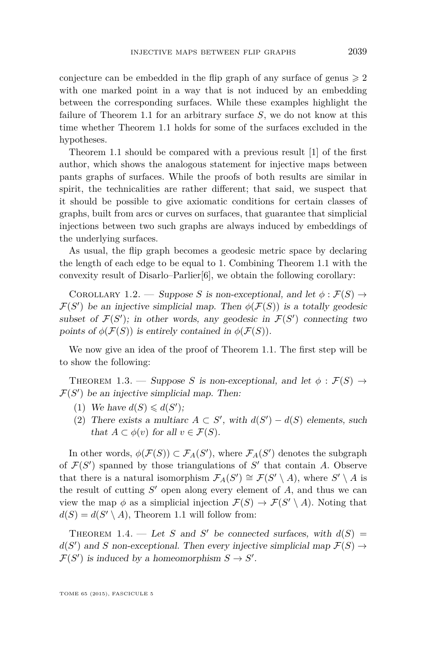<span id="page-3-0"></span>conjecture can be embedded in the flip graph of any surface of genus  $\geq 2$ with one marked point in a way that is not induced by an embedding between the corresponding surfaces. While these examples highlight the failure of Theorem [1.1](#page-2-0) for an arbitrary surface *S*, we do not know at this time whether Theorem [1.1](#page-2-0) holds for some of the surfaces excluded in the hypotheses.

Theorem [1.1](#page-2-0) should be compared with a previous result [\[1\]](#page-19-0) of the first author, which shows the analogous statement for injective maps between pants graphs of surfaces. While the proofs of both results are similar in spirit, the technicalities are rather different; that said, we suspect that it should be possible to give axiomatic conditions for certain classes of graphs, built from arcs or curves on surfaces, that guarantee that simplicial injections between two such graphs are always induced by embeddings of the underlying surfaces.

As usual, the flip graph becomes a geodesic metric space by declaring the length of each edge to be equal to 1. Combining Theorem [1.1](#page-2-0) with the convexity result of Disarlo–Parlier[\[6\]](#page-19-0), we obtain the following corollary:

COROLLARY 1.2. — Suppose *S* is non-exceptional, and let  $\phi : \mathcal{F}(S) \rightarrow$  $\mathcal{F}(S')$  be an injective simplicial map. Then  $\phi(\mathcal{F}(S))$  is a totally geodesic subset of  $\mathcal{F}(S')$ ; in other words, any geodesic in  $\mathcal{F}(S')$  connecting two points of  $\phi(\mathcal{F}(S))$  is entirely contained in  $\phi(\mathcal{F}(S))$ .

We now give an idea of the proof of Theorem [1.1.](#page-2-0) The first step will be to show the following:

THEOREM 1.3. — Suppose *S* is non-exceptional, and let  $\phi : \mathcal{F}(S) \rightarrow$  $\mathcal{F}(S')$  be an injective simplicial map. Then:

- (1) We have  $d(S) \leq d(S')$ ;
- (2) There exists a multiarc  $A \subset S'$ , with  $d(S') d(S)$  elements, such that  $A \subset \phi(v)$  for all  $v \in \mathcal{F}(S)$ .

In other words,  $\phi(\mathcal{F}(S)) \subset \mathcal{F}_A(S')$ , where  $\mathcal{F}_A(S')$  denotes the subgraph of  $\mathcal{F}(S')$  spanned by those triangulations of  $S'$  that contain *A*. Observe that there is a natural isomorphism  $\mathcal{F}_A(S') \cong \mathcal{F}(S' \setminus A)$ , where  $S' \setminus A$  is the result of cutting  $S'$  open along every element of  $A$ , and thus we can view the map  $\phi$  as a simplicial injection  $\mathcal{F}(S) \to \mathcal{F}(S' \setminus A)$ . Noting that  $d(S) = d(S' \setminus A)$ , Theorem [1.1](#page-2-0) will follow from:

THEOREM 1.4. — Let *S* and *S*<sup> $\prime$ </sup> be connected surfaces, with  $d(S)$  =  $d(S')$  and *S* non-exceptional. Then every injective simplicial map  $\mathcal{F}(S) \to$  $\mathcal{F}(S')$  is induced by a homeomorphism  $S \to S'$ .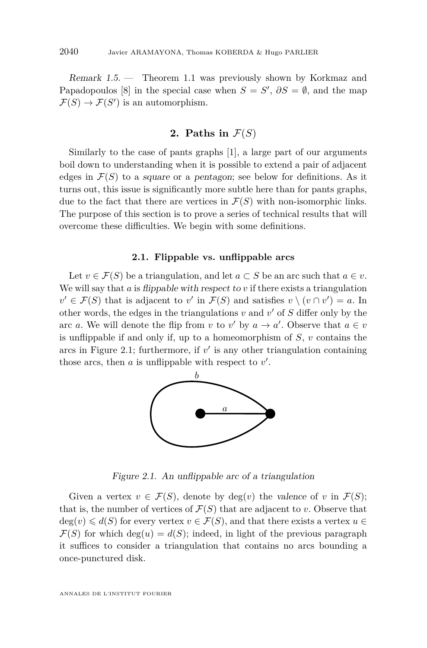<span id="page-4-0"></span>Remark 1.5. — Theorem [1.1](#page-2-0) was previously shown by Korkmaz and Papadopoulos [\[8\]](#page-19-0) in the special case when  $S = S'$ ,  $\partial S = \emptyset$ , and the map  $\mathcal{F}(S) \to \mathcal{F}(S')$  is an automorphism.

#### **2.** Paths in  $\mathcal{F}(S)$

Similarly to the case of pants graphs [\[1\]](#page-19-0), a large part of our arguments boil down to understanding when it is possible to extend a pair of adjacent edges in  $\mathcal{F}(S)$  to a square or a pentagon; see below for definitions. As it turns out, this issue is significantly more subtle here than for pants graphs, due to the fact that there are vertices in  $\mathcal{F}(S)$  with non-isomorphic links. The purpose of this section is to prove a series of technical results that will overcome these difficulties. We begin with some definitions.

#### **2.1. Flippable vs. unflippable arcs**

Let  $v \in \mathcal{F}(S)$  be a triangulation, and let  $a \subset S$  be an arc such that  $a \in v$ . We will say that  $a$  is *flippable with respect to*  $v$  if there exists a triangulation  $v' \in \mathcal{F}(S)$  that is adjacent to *v*' in  $\mathcal{F}(S)$  and satisfies  $v \setminus (v \cap v') = a$ . In other words, the edges in the triangulations  $v$  and  $v'$  of  $S$  differ only by the arc *a*. We will denote the flip from *v* to *v*' by  $a \to a'$ . Observe that  $a \in v$ is unflippable if and only if, up to a homeomorphism of *S*, *v* contains the arcs in Figure 2.1; furthermore, if  $v'$  is any other triangulation containing those arcs, then  $a$  is unflippable with respect to  $v'$ .



Figure 2.1. An unflippable arc of a triangulation

Given a vertex  $v \in \mathcal{F}(S)$ , denote by  $deg(v)$  the valence of v in  $\mathcal{F}(S)$ ; that is, the number of vertices of  $\mathcal{F}(S)$  that are adjacent to *v*. Observe that  $deg(v) \leq d(S)$  for every vertex  $v \in \mathcal{F}(S)$ , and that there exists a vertex  $u \in$  $\mathcal{F}(S)$  for which deg(*u*) =  $d(S)$ ; indeed, in light of the previous paragraph it suffices to consider a triangulation that contains no arcs bounding a once-punctured disk.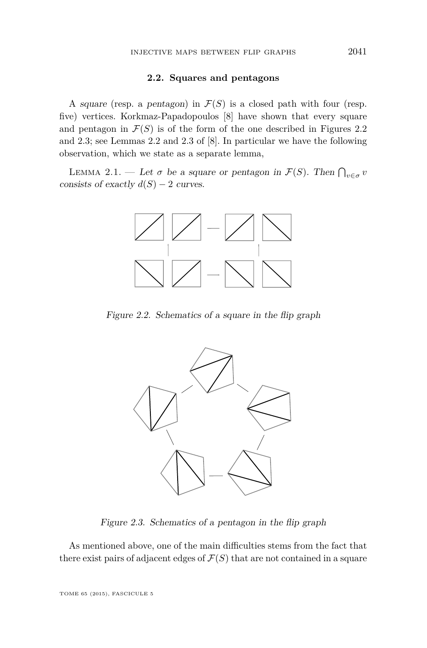#### **2.2. Squares and pentagons**

<span id="page-5-0"></span>A square (resp. a pentagon) in  $\mathcal{F}(S)$  is a closed path with four (resp. five) vertices. Korkmaz-Papadopoulos [\[8\]](#page-19-0) have shown that every square and pentagon in  $\mathcal{F}(S)$  is of the form of the one described in Figures 2.2 and 2.3; see Lemmas 2.2 and 2.3 of [\[8\]](#page-19-0). In particular we have the following observation, which we state as a separate lemma,

LEMMA 2.1. — Let  $\sigma$  be a square or pentagon in  $\mathcal{F}(S)$ . Then  $\bigcap_{v \in \sigma} v$ consists of exactly  $d(S) - 2$  curves.



Figure 2.2. Schematics of a square in the flip graph



Figure 2.3. Schematics of a pentagon in the flip graph

As mentioned above, one of the main difficulties stems from the fact that there exist pairs of adjacent edges of  $\mathcal{F}(S)$  that are not contained in a square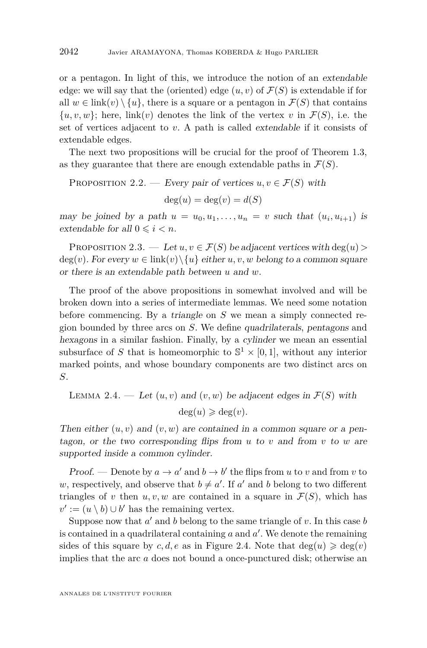<span id="page-6-0"></span>or a pentagon. In light of this, we introduce the notion of an extendable edge: we will say that the (oriented) edge  $(u, v)$  of  $\mathcal{F}(S)$  is extendable if for all  $w \in \text{link}(v) \setminus \{u\}$ , there is a square or a pentagon in  $\mathcal{F}(S)$  that contains  $\{u, v, w\}$ ; here, link(*v*) denotes the link of the vertex *v* in  $\mathcal{F}(S)$ , i.e. the set of vertices adjacent to *v*. A path is called extendable if it consists of extendable edges.

The next two propositions will be crucial for the proof of Theorem [1.3,](#page-3-0) as they guarantee that there are enough extendable paths in  $\mathcal{F}(S)$ .

PROPOSITION 2.2. — Every pair of vertices  $u, v \in \mathcal{F}(S)$  with

 $\deg(u) = \deg(v) = d(S)$ 

may be joined by a path  $u = u_0, u_1, \ldots, u_n = v$  such that  $(u_i, u_{i+1})$  is extendable for all  $0 \leq i \leq n$ .

PROPOSITION 2.3. — Let  $u, v \in \mathcal{F}(S)$  be adjacent vertices with deg(*u*) >  $deg(v)$ . For every  $w \in link(v) \setminus \{u\}$  either  $u, v, w$  belong to a common square or there is an extendable path between *u* and *w*.

The proof of the above propositions in somewhat involved and will be broken down into a series of intermediate lemmas. We need some notation before commencing. By a triangle on *S* we mean a simply connected region bounded by three arcs on *S*. We define quadrilaterals, pentagons and hexagons in a similar fashion. Finally, by a cylinder we mean an essential subsurface of *S* that is homeomorphic to  $\mathbb{S}^1 \times [0,1]$ , without any interior marked points, and whose boundary components are two distinct arcs on *S*.

LEMMA 2.4. — Let  $(u, v)$  and  $(v, w)$  be adjacent edges in  $\mathcal{F}(S)$  with  $deg(u) \geqslant deg(v)$ .

Then either  $(u, v)$  and  $(v, w)$  are contained in a common square or a pentagon, or the two corresponding flips from *u* to *v* and from *v* to *w* are supported inside a common cylinder.

Proof. — Denote by  $a \to a'$  and  $b \to b'$  the flips from *u* to *v* and from *v* to *w*, respectively, and observe that  $b \neq a'$ . If *a'* and *b* belong to two different triangles of *v* then  $u, v, w$  are contained in a square in  $\mathcal{F}(S)$ , which has  $v' := (u \setminus b) \cup b'$  has the remaining vertex.

Suppose now that  $a'$  and  $b$  belong to the same triangle of  $v$ . In this case  $b$ is contained in a quadrilateral containing  $a$  and  $a'$ . We denote the remaining sides of this square by *c, d, e* as in Figure [2.4.](#page-7-0) Note that  $deg(u) \geqslant deg(v)$ implies that the arc *a* does not bound a once-punctured disk; otherwise an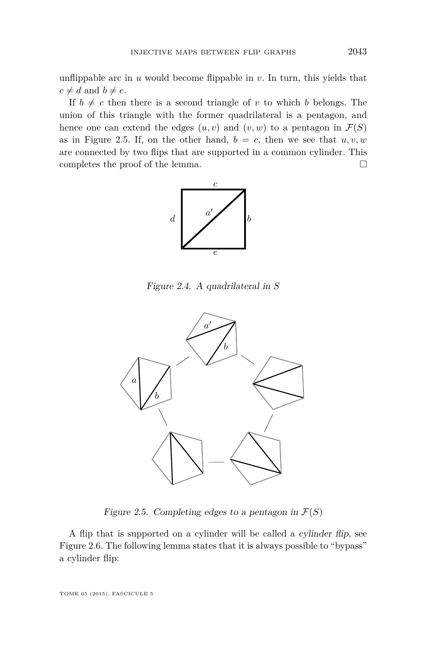<span id="page-7-0"></span>unflippable arc in  $u$  would become flippable in  $v$ . In turn, this yields that  $c \neq d$  and  $b \neq e$ .

If  $b \neq c$  then there is a second triangle of *v* to which *b* belongs. The union of this triangle with the former quadrilateral is a pentagon, and hence one can extend the edges  $(u, v)$  and  $(v, w)$  to a pentagon in  $\mathcal{F}(S)$ as in Figure 2.5. If, on the other hand,  $b = c$ , then we see that  $u, v, w$ are connected by two flips that are supported in a common cylinder. This completes the proof of the lemma.  $\Box$ 



Figure 2.4. A quadrilateral in *S*



Figure 2.5. Completing edges to a pentagon in  $\mathcal{F}(S)$ 

A flip that is supported on a cylinder will be called a cylinder flip, see Figure [2.6.](#page-8-0) The following lemma states that it is always possible to "bypass" a cylinder flip:

TOME 65 (2015), FASCICULE 5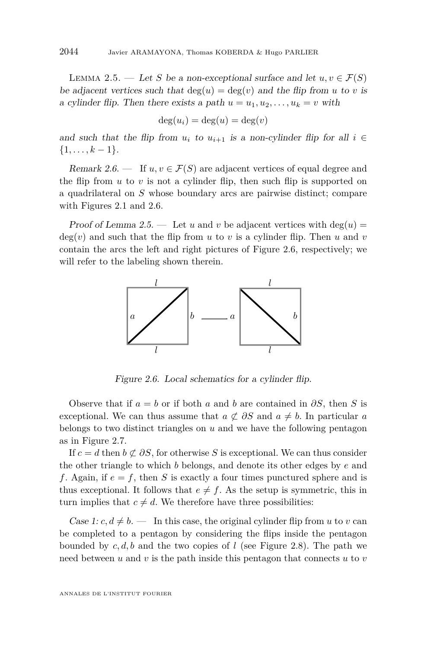<span id="page-8-0"></span>LEMMA 2.5. — Let *S* be a non-exceptional surface and let  $u, v \in \mathcal{F}(S)$ be adjacent vertices such that  $deg(u) = deg(v)$  and the flip from *u* to *v* is a cylinder flip. Then there exists a path  $u = u_1, u_2, \ldots, u_k = v$  with

$$
\deg(u_i) = \deg(u) = \deg(v)
$$

and such that the flip from  $u_i$  to  $u_{i+1}$  is a non-cylinder flip for all  $i \in$  $\{1, \ldots, k-1\}.$ 

Remark 2.6. — If  $u, v \in \mathcal{F}(S)$  are adjacent vertices of equal degree and the flip from  $u$  to  $v$  is not a cylinder flip, then such flip is supported on a quadrilateral on *S* whose boundary arcs are pairwise distinct; compare with Figures [2.1](#page-4-0) and 2.6.

Proof of Lemma 2.5. — Let u and v be adjacent vertices with  $deg(u)$  $deg(v)$  and such that the flip from *u* to *v* is a cylinder flip. Then *u* and *v* contain the arcs the left and right pictures of Figure 2.6, respectively; we will refer to the labeling shown therein.



Figure 2.6. Local schematics for a cylinder flip.

Observe that if  $a = b$  or if both  $a$  and  $b$  are contained in  $\partial S$ , then  $S$  is exceptional. We can thus assume that  $a \not\subset \partial S$  and  $a \neq b$ . In particular *a* belongs to two distinct triangles on *u* and we have the following pentagon as in Figure [2.7.](#page-9-0)

If  $c = d$  then  $b \not\subset \partial S$ , for otherwise *S* is exceptional. We can thus consider the other triangle to which *b* belongs, and denote its other edges by *e* and f. Again, if  $e = f$ , then *S* is exactly a four times punctured sphere and is thus exceptional. It follows that  $e \neq f$ . As the setup is symmetric, this in turn implies that  $c \neq d$ . We therefore have three possibilities:

Case 1:  $c, d \neq b$ . — In this case, the original cylinder flip from *u* to *v* can be completed to a pentagon by considering the flips inside the pentagon bounded by  $c, d, b$  and the two copies of *l* (see Figure [2.8\)](#page-9-0). The path we need between *u* and *v* is the path inside this pentagon that connects *u* to *v*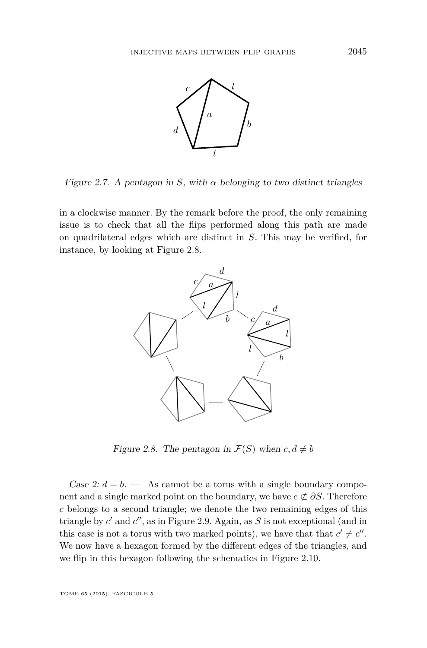<span id="page-9-0"></span>

Figure 2.7. A pentagon in *S*, with  $\alpha$  belonging to two distinct triangles

in a clockwise manner. By the remark before the proof, the only remaining issue is to check that all the flips performed along this path are made on quadrilateral edges which are distinct in *S*. This may be verified, for instance, by looking at Figure 2.8.



Figure 2.8. The pentagon in  $\mathcal{F}(S)$  when  $c, d \neq b$ 

Case 2:  $d = b$ . — As cannot be a torus with a single boundary component and a single marked point on the boundary, we have  $c \not\subset \partial S$ . Therefore *c* belongs to a second triangle; we denote the two remaining edges of this triangle by  $c'$  and  $c''$ , as in Figure [2.9.](#page-10-0) Again, as  $S$  is not exceptional (and in this case is not a torus with two marked points), we have that that  $c' \neq c''$ . We now have a hexagon formed by the different edges of the triangles, and we flip in this hexagon following the schematics in Figure [2.10.](#page-10-0)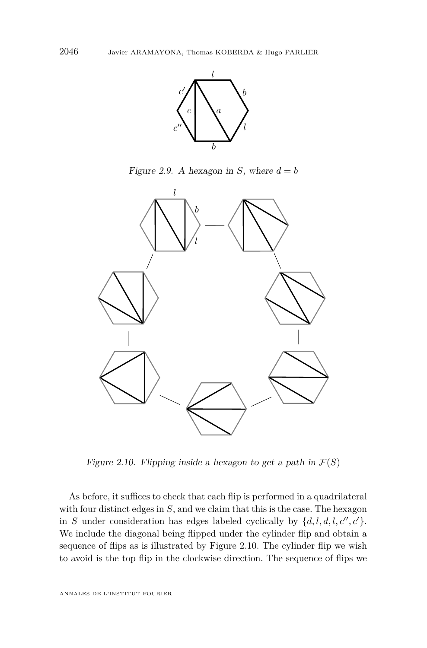<span id="page-10-0"></span>

Figure 2.9. A hexagon in *S*, where  $d = b$ 



Figure 2.10. Flipping inside a hexagon to get a path in  $\mathcal{F}(S)$ 

As before, it suffices to check that each flip is performed in a quadrilateral with four distinct edges in *S*, and we claim that this is the case. The hexagon in *S* under consideration has edges labeled cyclically by  $\{d, l, d, l, c'', c'\}.$ We include the diagonal being flipped under the cylinder flip and obtain a sequence of flips as is illustrated by Figure 2.10. The cylinder flip we wish to avoid is the top flip in the clockwise direction. The sequence of flips we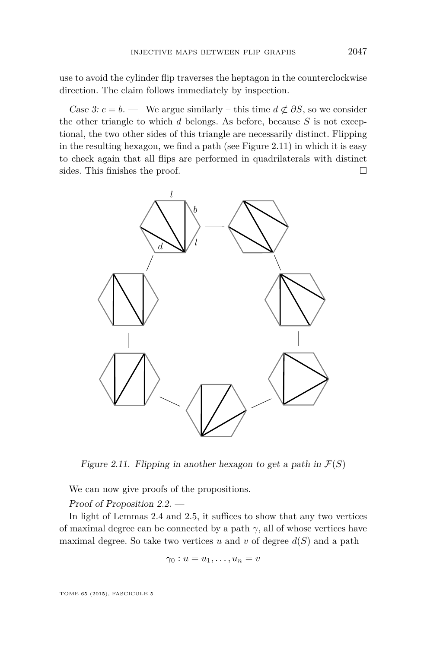use to avoid the cylinder flip traverses the heptagon in the counterclockwise direction. The claim follows immediately by inspection.

Case 3:  $c = b$ . — We argue similarly – this time  $d \not\subset \partial S$ , so we consider the other triangle to which *d* belongs. As before, because *S* is not exceptional, the two other sides of this triangle are necessarily distinct. Flipping in the resulting hexagon, we find a path (see Figure 2.11) in which it is easy to check again that all flips are performed in quadrilaterals with distinct sides. This finishes the proof.



Figure 2.11. Flipping in another hexagon to get a path in  $\mathcal{F}(S)$ 

We can now give proofs of the propositions.

Proof of Proposition [2.2.](#page-6-0) —

In light of Lemmas [2.4](#page-6-0) and [2.5,](#page-8-0) it suffices to show that any two vertices of maximal degree can be connected by a path  $\gamma$ , all of whose vertices have maximal degree. So take two vertices  $u$  and  $v$  of degree  $d(S)$  and a path

$$
\gamma_0: u=u_1,\ldots,u_n=v
$$

TOME 65 (2015), FASCICULE 5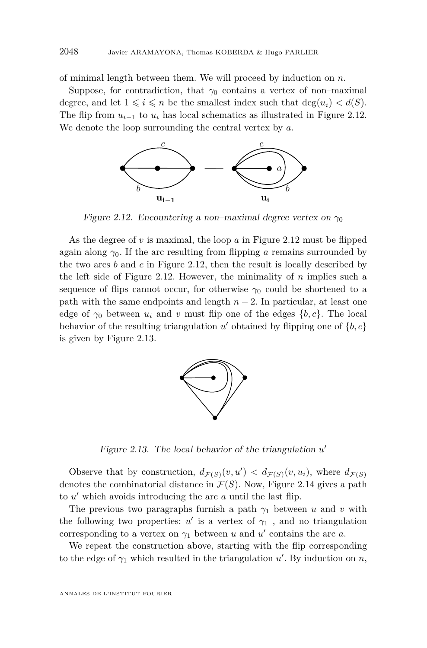<span id="page-12-0"></span>of minimal length between them. We will proceed by induction on *n*.

Suppose, for contradiction, that  $\gamma_0$  contains a vertex of non–maximal degree, and let  $1 \leq i \leq n$  be the smallest index such that  $\deg(u_i) < d(S)$ . The flip from  $u_{i-1}$  to  $u_i$  has local schematics as illustrated in Figure 2.12. We denote the loop surrounding the central vertex by *a*.



Figure 2.12. Encountering a non–maximal degree vertex on γ<sub>0</sub>

As the degree of *v* is maximal, the loop *a* in Figure 2.12 must be flipped again along  $\gamma_0$ . If the arc resulting from flipping *a* remains surrounded by the two arcs *b* and *c* in Figure 2.12, then the result is locally described by the left side of Figure 2.12. However, the minimality of *n* implies such a sequence of flips cannot occur, for otherwise  $\gamma_0$  could be shortened to a path with the same endpoints and length  $n-2$ . In particular, at least one edge of  $\gamma_0$  between  $u_i$  and  $v$  must flip one of the edges  $\{b, c\}$ . The local behavior of the resulting triangulation  $u'$  obtained by flipping one of  $\{b, c\}$ is given by Figure 2.13.



Figure 2.13. The local behavior of the triangulation  $u'$ 

Observe that by construction,  $d_{\mathcal{F}(S)}(v, u') < d_{\mathcal{F}(S)}(v, u_i)$ , where  $d_{\mathcal{F}(S)}$ denotes the combinatorial distance in  $\mathcal{F}(S)$ . Now, Figure [2.14](#page-13-0) gives a path to  $u'$  which avoids introducing the arc  $a$  until the last flip.

The previous two paragraphs furnish a path  $\gamma_1$  between *u* and *v* with the following two properties:  $u'$  is a vertex of  $\gamma_1$ , and no triangulation corresponding to a vertex on  $\gamma_1$  between *u* and *u'* contains the arc *a*.

We repeat the construction above, starting with the flip corresponding to the edge of  $\gamma_1$  which resulted in the triangulation  $u'$ . By induction on  $n$ ,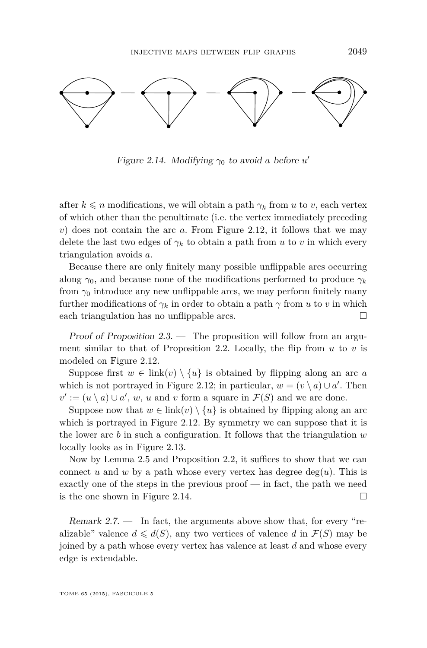<span id="page-13-0"></span>

Figure 2.14. Modifying  $\gamma_0$  to avoid *a* before *u* 

after  $k \leq n$  modifications, we will obtain a path  $\gamma_k$  from *u* to *v*, each vertex of which other than the penultimate (i.e. the vertex immediately preceding *v*) does not contain the arc *a*. From Figure [2.12,](#page-12-0) it follows that we may delete the last two edges of  $\gamma_k$  to obtain a path from *u* to *v* in which every triangulation avoids *a*.

Because there are only finitely many possible unflippable arcs occurring along  $\gamma_0$ , and because none of the modifications performed to produce  $\gamma_k$ from  $\gamma_0$  introduce any new unflippable arcs, we may perform finitely many further modifications of  $\gamma_k$  in order to obtain a path  $\gamma$  from *u* to *v* in which each triangulation has no unflippable arcs.

Proof of Proposition  $2.3$ . — The proposition will follow from an argument similar to that of Proposition [2.2.](#page-6-0) Locally, the flip from *u* to *v* is modeled on Figure [2.12.](#page-12-0)

Suppose first  $w \in \text{link}(v) \setminus \{u\}$  is obtained by flipping along an arc *a* which is not portrayed in Figure [2.12;](#page-12-0) in particular,  $w = (v \setminus a) \cup a'$ . Then  $v' := (u \setminus a) \cup a'$ , *w*, *u* and *v* form a square in  $\mathcal{F}(S)$  and we are done.

Suppose now that  $w \in \text{link}(v) \setminus \{u\}$  is obtained by flipping along an arc which is portrayed in Figure [2.12.](#page-12-0) By symmetry we can suppose that it is the lower arc *b* in such a configuration. It follows that the triangulation *w* locally looks as in Figure [2.13.](#page-12-0)

Now by Lemma [2.5](#page-8-0) and Proposition [2.2,](#page-6-0) it suffices to show that we can connect *u* and *w* by a path whose every vertex has degree  $deg(u)$ . This is exactly one of the steps in the previous proof — in fact, the path we need is the one shown in Figure 2.14.  $\Box$ 

Remark  $2.7.$  — In fact, the arguments above show that, for every "realizable" valence  $d \leq d(S)$ , any two vertices of valence *d* in  $\mathcal{F}(S)$  may be joined by a path whose every vertex has valence at least *d* and whose every edge is extendable.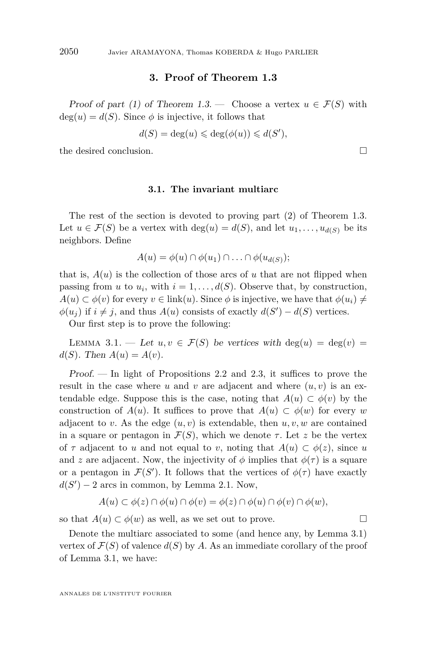#### **3. Proof of Theorem [1.3](#page-3-0)**

<span id="page-14-0"></span>Proof of part (1) of Theorem [1.3.](#page-3-0) — Choose a vertex  $u \in \mathcal{F}(S)$  with  $deg(u) = d(S)$ . Since  $\phi$  is injective, it follows that

$$
d(S) = \deg(u) \leq \deg(\phi(u)) \leq d(S'),
$$

the desired conclusion.

#### **3.1. The invariant multiarc**

The rest of the section is devoted to proving part (2) of Theorem [1.3.](#page-3-0) Let  $u \in \mathcal{F}(S)$  be a vertex with  $\deg(u) = d(S)$ , and let  $u_1, \ldots, u_{d(S)}$  be its neighbors. Define

$$
A(u) = \phi(u) \cap \phi(u_1) \cap \ldots \cap \phi(u_{d(S)})
$$

that is,  $A(u)$  is the collection of those arcs of  $u$  that are not flipped when passing from *u* to  $u_i$ , with  $i = 1, \ldots, d(S)$ . Observe that, by construction,  $A(u) \subset \phi(v)$  for every  $v \in \text{link}(u)$ . Since  $\phi$  is injective, we have that  $\phi(u_i) \neq$  $\phi(u_j)$  if  $i \neq j$ , and thus  $A(u)$  consists of exactly  $d(S') - d(S)$  vertices.

Our first step is to prove the following:

LEMMA 3.1. — Let  $u, v \in \mathcal{F}(S)$  be vertices with deg(*u*) = deg(*v*) =  $d(S)$ . Then  $A(u) = A(v)$ .

Proof. — In light of Propositions [2.2](#page-6-0) and [2.3,](#page-6-0) it suffices to prove the result in the case where  $u$  and  $v$  are adjacent and where  $(u, v)$  is an extendable edge. Suppose this is the case, noting that  $A(u) \subset \phi(v)$  by the construction of  $A(u)$ . It suffices to prove that  $A(u) \subset \phi(w)$  for every *w* adjacent to *v*. As the edge  $(u, v)$  is extendable, then  $u, v, w$  are contained in a square or pentagon in  $\mathcal{F}(S)$ , which we denote  $\tau$ . Let *z* be the vertex of  $\tau$  adjacent to *u* and not equal to *v*, noting that  $A(u) \subset \phi(z)$ , since *u* and *z* are adjacent. Now, the injectivity of  $\phi$  implies that  $\phi(\tau)$  is a square or a pentagon in  $\mathcal{F}(S')$ . It follows that the vertices of  $\phi(\tau)$  have exactly  $d(S') - 2$  arcs in common, by Lemma [2.1.](#page-5-0) Now,

$$
A(u) \subset \phi(z) \cap \phi(u) \cap \phi(v) = \phi(z) \cap \phi(u) \cap \phi(v) \cap \phi(w),
$$

so that  $A(u) \subset \phi(w)$  as well, as we set out to prove.

Denote the multiarc associated to some (and hence any, by Lemma 3.1) vertex of  $\mathcal{F}(S)$  of valence  $d(S)$  by A. As an immediate corollary of the proof of Lemma 3.1, we have:

ANNALES DE L'INSTITUT FOURIER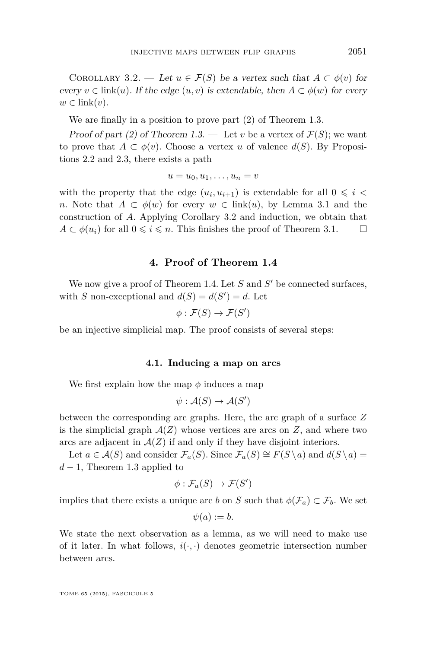COROLLARY 3.2. — Let  $u \in \mathcal{F}(S)$  be a vertex such that  $A \subset \phi(v)$  for every  $v \in \text{link}(u)$ . If the edge  $(u, v)$  is extendable, then  $A \subset \phi(w)$  for every  $w \in \text{link}(v)$ .

We are finally in a position to prove part (2) of Theorem [1.3.](#page-3-0)

Proof of part (2) of Theorem [1.3.](#page-3-0) — Let *v* be a vertex of  $\mathcal{F}(S)$ ; we want to prove that  $A \subset \phi(v)$ . Choose a vertex *u* of valence  $d(S)$ . By Propositions [2.2](#page-6-0) and [2.3,](#page-6-0) there exists a path

$$
u=u_0, u_1, \ldots, u_n=v
$$

with the property that the edge  $(u_i, u_{i+1})$  is extendable for all  $0 \leq i <$ *n*. Note that  $A \subset \phi(w)$  for every  $w \in \text{link}(u)$ , by Lemma [3.1](#page-14-0) and the construction of *A*. Applying Corollary 3.2 and induction, we obtain that  $A \subset \phi(u_i)$  for all  $0 \leq i \leq n$ . This finishes the proof of Theorem [3.1.](#page-14-0)

#### **4. Proof of Theorem [1.4](#page-3-0)**

We now give a proof of Theorem [1.4.](#page-3-0) Let  $S$  and  $S'$  be connected surfaces, with *S* non-exceptional and  $d(S) = d(S') = d$ . Let

$$
\phi : \mathcal{F}(S) \to \mathcal{F}(S')
$$

be an injective simplicial map. The proof consists of several steps:

#### **4.1. Inducing a map on arcs**

We first explain how the map  $\phi$  induces a map

$$
\psi : \mathcal{A}(S) \to \mathcal{A}(S')
$$

between the corresponding arc graphs. Here, the arc graph of a surface *Z* is the simplicial graph  $\mathcal{A}(Z)$  whose vertices are arcs on  $Z$ , and where two arcs are adjacent in  $A(Z)$  if and only if they have disjoint interiors.

Let  $a \in \mathcal{A}(S)$  and consider  $\mathcal{F}_a(S)$ . Since  $\mathcal{F}_a(S) \cong F(S \setminus a)$  and  $d(S \setminus a) =$  $d-1$ , Theorem [1.3](#page-3-0) applied to

$$
\phi : \mathcal{F}_a(S) \to \mathcal{F}(S')
$$

implies that there exists a unique arc *b* on *S* such that  $\phi(\mathcal{F}_a) \subset \mathcal{F}_b$ . We set

 $\psi(a) := b.$ 

We state the next observation as a lemma, as we will need to make use of it later. In what follows,  $i(\cdot, \cdot)$  denotes geometric intersection number between arcs.

TOME 65 (2015), FASCICULE 5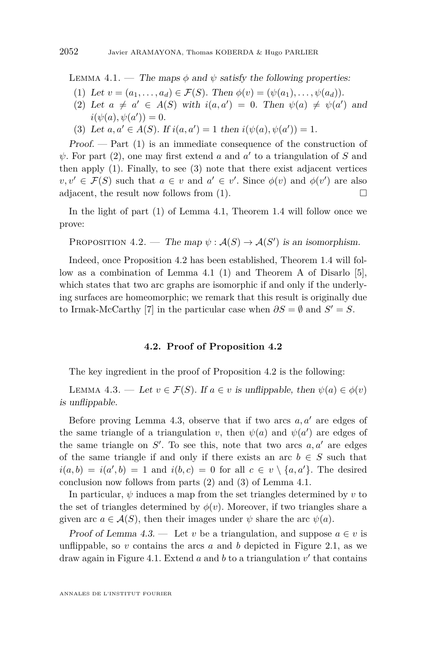<span id="page-16-0"></span>LEMMA 4.1. — The maps  $\phi$  and  $\psi$  satisfy the following properties:

- (1) Let  $v = (a_1, \ldots, a_d) \in \mathcal{F}(S)$ . Then  $\phi(v) = (\psi(a_1), \ldots, \psi(a_d))$ .
- (2) Let  $a \neq a' \in A(S)$  with  $i(a,a') = 0$ . Then  $\psi(a) \neq \psi(a')$  and  $i(\psi(a), \psi(a')) = 0.$
- (3) Let  $a, a' \in A(S)$ . If  $i(a, a') = 1$  then  $i(\psi(a), \psi(a')) = 1$ .

 $Proof.$  — Part  $(1)$  is an immediate consequence of the construction of  $\psi$ . For part (2), one may first extend *a* and *a'* to a triangulation of *S* and then apply (1). Finally, to see (3) note that there exist adjacent vertices  $v, v' \in \mathcal{F}(S)$  such that  $a \in v$  and  $a' \in v'$ . Since  $\phi(v)$  and  $\phi(v')$  are also adjacent, the result now follows from  $(1)$ .

In the light of part (1) of Lemma 4.1, Theorem [1.4](#page-3-0) will follow once we prove:

PROPOSITION 4.2. — The map  $\psi : \mathcal{A}(S) \to \mathcal{A}(S')$  is an isomorphism.

Indeed, once Proposition 4.2 has been established, Theorem [1.4](#page-3-0) will follow as a combination of Lemma 4.1 (1) and Theorem A of Disarlo [\[5\]](#page-19-0), which states that two arc graphs are isomorphic if and only if the underlying surfaces are homeomorphic; we remark that this result is originally due to Irmak-McCarthy [\[7\]](#page-19-0) in the particular case when  $\partial S = \emptyset$  and  $S' = S$ .

#### **4.2. Proof of Proposition 4.2**

The key ingredient in the proof of Proposition 4.2 is the following:

LEMMA 4.3. — Let  $v \in \mathcal{F}(S)$ . If  $a \in v$  is unflippable, then  $\psi(a) \in \phi(v)$ is unflippable.

Before proving Lemma 4.3, observe that if two arcs  $a, a'$  are edges of the same triangle of a triangulation *v*, then  $\psi(a)$  and  $\psi(a')$  are edges of the same triangle on  $S'$ . To see this, note that two arcs  $a, a'$  are edges of the same triangle if and only if there exists an arc  $b \in S$  such that  $i(a, b) = i(a', b) = 1$  and  $i(b, c) = 0$  for all  $c \in v \setminus \{a, a'\}$ . The desired conclusion now follows from parts (2) and (3) of Lemma 4.1.

In particular,  $\psi$  induces a map from the set triangles determined by  $v$  to the set of triangles determined by  $\phi(v)$ . Moreover, if two triangles share a given arc  $a \in \mathcal{A}(S)$ , then their images under  $\psi$  share the arc  $\psi(a)$ .

Proof of Lemma 4.3. — Let *v* be a triangulation, and suppose  $a \in v$  is unflippable, so  $v$  contains the arcs  $a$  and  $b$  depicted in Figure [2.1,](#page-4-0) as we draw again in Figure [4.1.](#page-17-0) Extend  $a$  and  $b$  to a triangulation  $v'$  that contains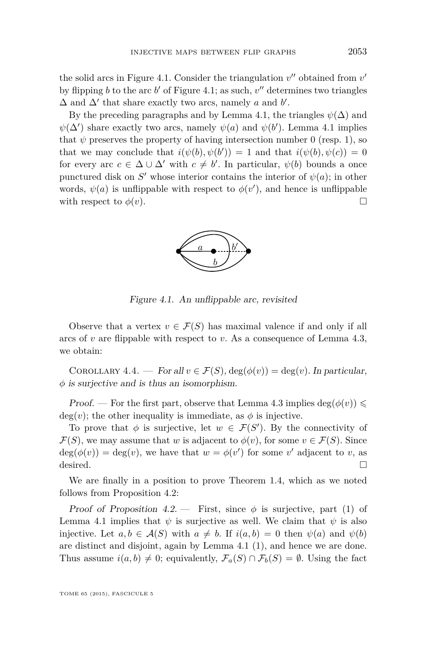<span id="page-17-0"></span>the solid arcs in Figure 4.1. Consider the triangulation  $v''$  obtained from  $v'$ by flipping *b* to the arc  $b'$  of Figure 4.1; as such,  $v''$  determines two triangles  $\Delta$  and  $\Delta'$  that share exactly two arcs, namely *a* and *b'*.

By the preceding paragraphs and by Lemma [4.1,](#page-16-0) the triangles  $\psi(\Delta)$  and  $\psi(\Delta')$  share exactly two arcs, namely  $\psi(a)$  and  $\psi(b')$ . Lemma [4.1](#page-16-0) implies that  $\psi$  preserves the property of having intersection number 0 (resp. 1), so that we may conclude that  $i(\psi(b), \psi(b')) = 1$  and that  $i(\psi(b), \psi(c)) = 0$ for every arc  $c \in \Delta \cup \Delta'$  with  $c \neq b'$ . In particular,  $\psi(b)$  bounds a once punctured disk on  $S'$  whose interior contains the interior of  $\psi(a)$ ; in other words,  $\psi(a)$  is unflippable with respect to  $\phi(v')$ , and hence is unflippable with respect to  $\phi(v)$ .



Figure 4.1. An unflippable arc, revisited

Observe that a vertex  $v \in \mathcal{F}(S)$  has maximal valence if and only if all arcs of *v* are flippable with respect to *v*. As a consequence of Lemma [4.3,](#page-16-0) we obtain:

COROLLARY 4.4. — For all  $v \in \mathcal{F}(S)$ ,  $\deg(\phi(v)) = \deg(v)$ . In particular, *φ* is surjective and is thus an isomorphism.

Proof. — For the first part, observe that Lemma [4.3](#page-16-0) implies  $\deg(\phi(v)) \leq$  $deg(v)$ ; the other inequality is immediate, as  $\phi$  is injective.

To prove that  $\phi$  is surjective, let  $w \in \mathcal{F}(S')$ . By the connectivity of  $\mathcal{F}(S)$ , we may assume that *w* is adjacent to  $\phi(v)$ , for some  $v \in \mathcal{F}(S)$ . Since  $deg(\phi(v)) = deg(v)$ , we have that  $w = \phi(v')$  for some *v*' adjacent to *v*, as desired.  $\Box$ 

We are finally in a position to prove Theorem [1.4,](#page-3-0) which as we noted follows from Proposition [4.2:](#page-16-0)

Proof of Proposition [4.2.](#page-16-0) — First, since  $\phi$  is surjective, part (1) of Lemma [4.1](#page-16-0) implies that  $\psi$  is surjective as well. We claim that  $\psi$  is also injective. Let  $a, b \in \mathcal{A}(S)$  with  $a \neq b$ . If  $i(a, b) = 0$  then  $\psi(a)$  and  $\psi(b)$ are distinct and disjoint, again by Lemma [4.1](#page-16-0) (1), and hence we are done. Thus assume  $i(a, b) \neq 0$ ; equivalently,  $\mathcal{F}_a(S) \cap \mathcal{F}_b(S) = \emptyset$ . Using the fact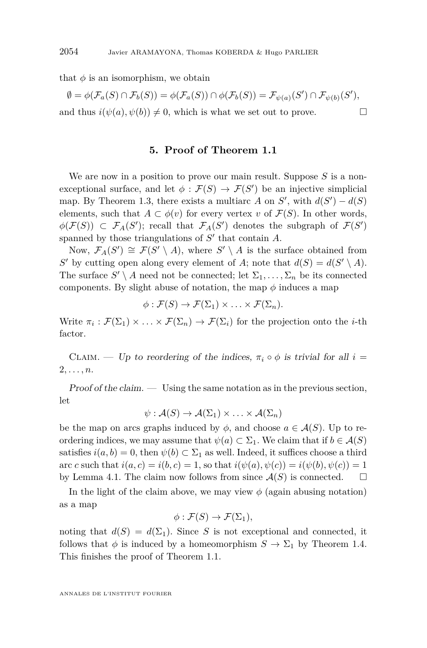that  $\phi$  is an isomorphism, we obtain

 $\emptyset = \phi(\mathcal{F}_a(S) \cap \mathcal{F}_b(S)) = \phi(\mathcal{F}_a(S)) \cap \phi(\mathcal{F}_b(S)) = \mathcal{F}_{\psi(a)}(S') \cap \mathcal{F}_{\psi(b)}(S'),$ and thus  $i(\psi(a), \psi(b)) \neq 0$ , which is what we set out to prove.

#### **5. Proof of Theorem [1.1](#page-2-0)**

We are now in a position to prove our main result. Suppose *S* is a nonexceptional surface, and let  $\phi : \mathcal{F}(S) \to \mathcal{F}(S')$  be an injective simplicial map. By Theorem [1.3,](#page-3-0) there exists a multiarc *A* on *S'*, with  $d(S') - d(S)$ elements, such that  $A \subset \phi(v)$  for every vertex *v* of  $\mathcal{F}(S)$ . In other words,  $\phi(\mathcal{F}(S)) \subset \mathcal{F}_A(S')$ ; recall that  $\mathcal{F}_A(S')$  denotes the subgraph of  $\mathcal{F}(S')$ spanned by those triangulations of  $S'$  that contain  $A$ .

Now,  $\mathcal{F}_A(S') \cong \mathcal{F}(S' \setminus A)$ , where  $S' \setminus A$  is the surface obtained from *S*<sup> $\prime$ </sup> by cutting open along every element of *A*; note that  $d(S) = d(S' \setminus A)$ . The surface  $S' \setminus A$  need not be connected; let  $\Sigma_1, \ldots, \Sigma_n$  be its connected components. By slight abuse of notation, the map  $\phi$  induces a map

$$
\phi: \mathcal{F}(S) \to \mathcal{F}(\Sigma_1) \times \ldots \times \mathcal{F}(\Sigma_n).
$$

Write  $\pi_i : \mathcal{F}(\Sigma_1) \times \ldots \times \mathcal{F}(\Sigma_n) \to \mathcal{F}(\Sigma_i)$  for the projection onto the *i*-th factor.

CLAIM. — Up to reordering of the indices,  $\pi_i \circ \phi$  is trivial for all  $i =$ 2*, . . . , n*.

 $Proof of the claim.$  Using the same notation as in the previous section, let

$$
\psi: \mathcal{A}(S) \to \mathcal{A}(\Sigma_1) \times \ldots \times \mathcal{A}(\Sigma_n)
$$

be the map on arcs graphs induced by  $\phi$ , and choose  $a \in \mathcal{A}(S)$ . Up to reordering indices, we may assume that  $\psi(a) \subset \Sigma_1$ . We claim that if  $b \in \mathcal{A}(S)$ satisfies  $i(a, b) = 0$ , then  $\psi(b) \subset \Sigma_1$  as well. Indeed, it suffices choose a third arc *c* such that  $i(a, c) = i(b, c) = 1$ , so that  $i(\psi(a), \psi(c)) = i(\psi(b), \psi(c)) = 1$ by Lemma [4.1.](#page-16-0) The claim now follows from since  $\mathcal{A}(S)$  is connected.  $\square$ 

In the light of the claim above, we may view  $\phi$  (again abusing notation) as a map

$$
\phi : \mathcal{F}(S) \to \mathcal{F}(\Sigma_1),
$$

noting that  $d(S) = d(\Sigma_1)$ . Since *S* is not exceptional and connected, it follows that  $\phi$  is induced by a homeomorphism  $S \to \Sigma_1$  by Theorem [1.4.](#page-3-0) This finishes the proof of Theorem [1.1.](#page-2-0)